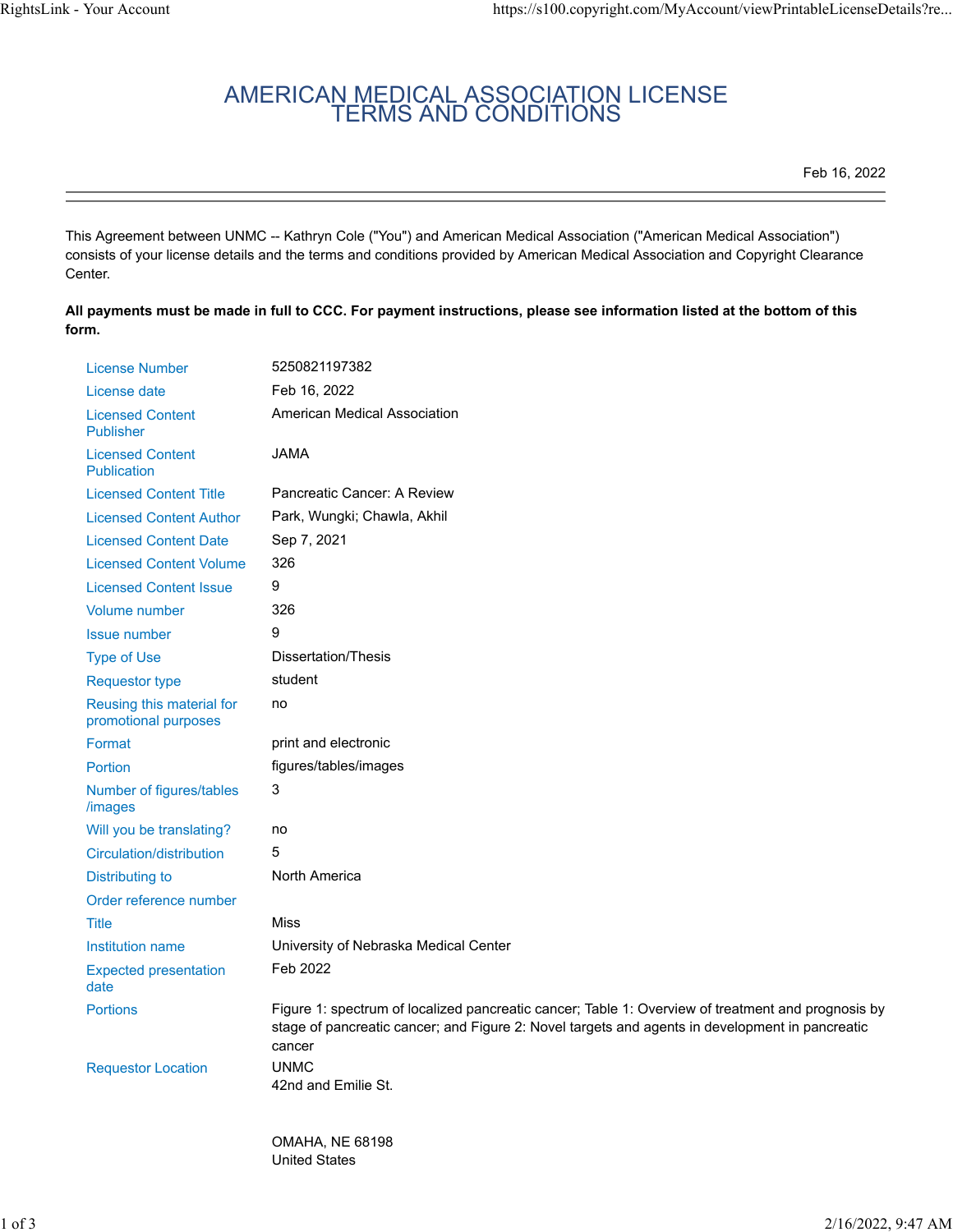## AMERICAN MEDICAL ASSOCIATION LICENSE TERMS AND CONDITIONS

Feb 16, 2022

This Agreement between UNMC -- Kathryn Cole ("You") and American Medical Association ("American Medical Association") consists of your license details and the terms and conditions provided by American Medical Association and Copyright Clearance Center.

**All payments must be made in full to CCC. For payment instructions, please see information listed at the bottom of this form.**

| <b>License Number</b>                             | 5250821197382                                                                                                                                                                                                   |
|---------------------------------------------------|-----------------------------------------------------------------------------------------------------------------------------------------------------------------------------------------------------------------|
| License date                                      | Feb 16, 2022                                                                                                                                                                                                    |
| <b>Licensed Content</b><br><b>Publisher</b>       | American Medical Association                                                                                                                                                                                    |
| <b>Licensed Content</b><br><b>Publication</b>     | <b>JAMA</b>                                                                                                                                                                                                     |
| <b>Licensed Content Title</b>                     | Pancreatic Cancer: A Review                                                                                                                                                                                     |
| <b>Licensed Content Author</b>                    | Park, Wungki; Chawla, Akhil                                                                                                                                                                                     |
| <b>Licensed Content Date</b>                      | Sep 7, 2021                                                                                                                                                                                                     |
| <b>Licensed Content Volume</b>                    | 326                                                                                                                                                                                                             |
| <b>Licensed Content Issue</b>                     | 9                                                                                                                                                                                                               |
| <b>Volume number</b>                              | 326                                                                                                                                                                                                             |
| <b>Issue number</b>                               | 9                                                                                                                                                                                                               |
| <b>Type of Use</b>                                | Dissertation/Thesis                                                                                                                                                                                             |
| <b>Requestor type</b>                             | student                                                                                                                                                                                                         |
| Reusing this material for<br>promotional purposes | no                                                                                                                                                                                                              |
| Format                                            | print and electronic                                                                                                                                                                                            |
| Portion                                           | figures/tables/images                                                                                                                                                                                           |
| Number of figures/tables<br>/images               | 3                                                                                                                                                                                                               |
| Will you be translating?                          | no                                                                                                                                                                                                              |
| Circulation/distribution                          | 5                                                                                                                                                                                                               |
| Distributing to                                   | North America                                                                                                                                                                                                   |
| Order reference number                            |                                                                                                                                                                                                                 |
| <b>Title</b>                                      | Miss                                                                                                                                                                                                            |
| <b>Institution name</b>                           | University of Nebraska Medical Center                                                                                                                                                                           |
| <b>Expected presentation</b><br>date              | Feb 2022                                                                                                                                                                                                        |
| <b>Portions</b>                                   | Figure 1: spectrum of localized pancreatic cancer; Table 1: Overview of treatment and prognosis by<br>stage of pancreatic cancer; and Figure 2: Novel targets and agents in development in pancreatic<br>cancer |
| <b>Requestor Location</b>                         | <b>UNMC</b><br>42nd and Emilie St.                                                                                                                                                                              |
|                                                   |                                                                                                                                                                                                                 |

OMAHA, NE 68198 United States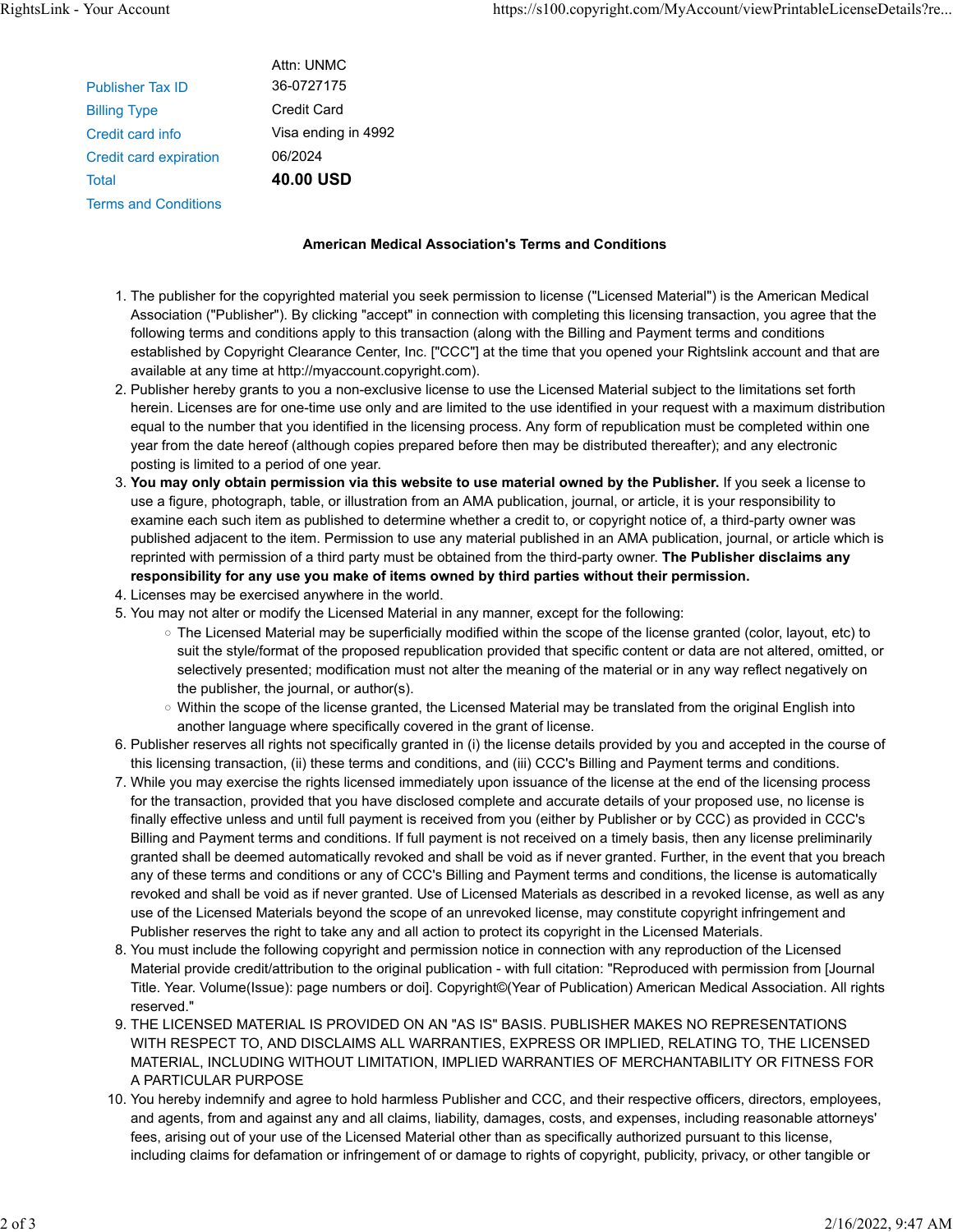|                               | Attn: UNMC          |
|-------------------------------|---------------------|
| <b>Publisher Tax ID</b>       | 36-0727175          |
| <b>Billing Type</b>           | Credit Card         |
| Credit card info              | Visa ending in 4992 |
| <b>Credit card expiration</b> | 06/2024             |
| Total                         | 40.00 USD           |
| <b>Terms and Conditions</b>   |                     |
|                               |                     |

## **American Medical Association's Terms and Conditions**

- 1. The publisher for the copyrighted material you seek permission to license ("Licensed Material") is the American Medical Association ("Publisher"). By clicking "accept" in connection with completing this licensing transaction, you agree that the following terms and conditions apply to this transaction (along with the Billing and Payment terms and conditions established by Copyright Clearance Center, Inc. ["CCC"] at the time that you opened your Rightslink account and that are available at any time at http://myaccount.copyright.com).
- 2. Publisher hereby grants to you a non-exclusive license to use the Licensed Material subject to the limitations set forth herein. Licenses are for one-time use only and are limited to the use identified in your request with a maximum distribution equal to the number that you identified in the licensing process. Any form of republication must be completed within one year from the date hereof (although copies prepared before then may be distributed thereafter); and any electronic posting is limited to a period of one year.
- 3. **You may only obtain permission via this website to use material owned by the Publisher.** If you seek a license to use a figure, photograph, table, or illustration from an AMA publication, journal, or article, it is your responsibility to examine each such item as published to determine whether a credit to, or copyright notice of, a third-party owner was published adjacent to the item. Permission to use any material published in an AMA publication, journal, or article which is reprinted with permission of a third party must be obtained from the third-party owner. **The Publisher disclaims any responsibility for any use you make of items owned by third parties without their permission.**
- 4. Licenses may be exercised anywhere in the world.
- 5. You may not alter or modify the Licensed Material in any manner, except for the following:
	- The Licensed Material may be superficially modified within the scope of the license granted (color, layout, etc) to suit the style/format of the proposed republication provided that specific content or data are not altered, omitted, or selectively presented; modification must not alter the meaning of the material or in any way reflect negatively on the publisher, the journal, or author(s).
	- Within the scope of the license granted, the Licensed Material may be translated from the original English into another language where specifically covered in the grant of license.
- 6. Publisher reserves all rights not specifically granted in (i) the license details provided by you and accepted in the course of this licensing transaction, (ii) these terms and conditions, and (iii) CCC's Billing and Payment terms and conditions.
- 7. While you may exercise the rights licensed immediately upon issuance of the license at the end of the licensing process for the transaction, provided that you have disclosed complete and accurate details of your proposed use, no license is finally effective unless and until full payment is received from you (either by Publisher or by CCC) as provided in CCC's Billing and Payment terms and conditions. If full payment is not received on a timely basis, then any license preliminarily granted shall be deemed automatically revoked and shall be void as if never granted. Further, in the event that you breach any of these terms and conditions or any of CCC's Billing and Payment terms and conditions, the license is automatically revoked and shall be void as if never granted. Use of Licensed Materials as described in a revoked license, as well as any use of the Licensed Materials beyond the scope of an unrevoked license, may constitute copyright infringement and Publisher reserves the right to take any and all action to protect its copyright in the Licensed Materials.
- 8. You must include the following copyright and permission notice in connection with any reproduction of the Licensed Material provide credit/attribution to the original publication - with full citation: "Reproduced with permission from [Journal Title. Year. Volume(Issue): page numbers or doi]. Copyright©(Year of Publication) American Medical Association. All rights reserved."
- 9. THE LICENSED MATERIAL IS PROVIDED ON AN "AS IS" BASIS. PUBLISHER MAKES NO REPRESENTATIONS WITH RESPECT TO, AND DISCLAIMS ALL WARRANTIES, EXPRESS OR IMPLIED, RELATING TO, THE LICENSED MATERIAL, INCLUDING WITHOUT LIMITATION, IMPLIED WARRANTIES OF MERCHANTABILITY OR FITNESS FOR A PARTICULAR PURPOSE
- 10. You hereby indemnify and agree to hold harmless Publisher and CCC, and their respective officers, directors, employees, and agents, from and against any and all claims, liability, damages, costs, and expenses, including reasonable attorneys' fees, arising out of your use of the Licensed Material other than as specifically authorized pursuant to this license, including claims for defamation or infringement of or damage to rights of copyright, publicity, privacy, or other tangible or